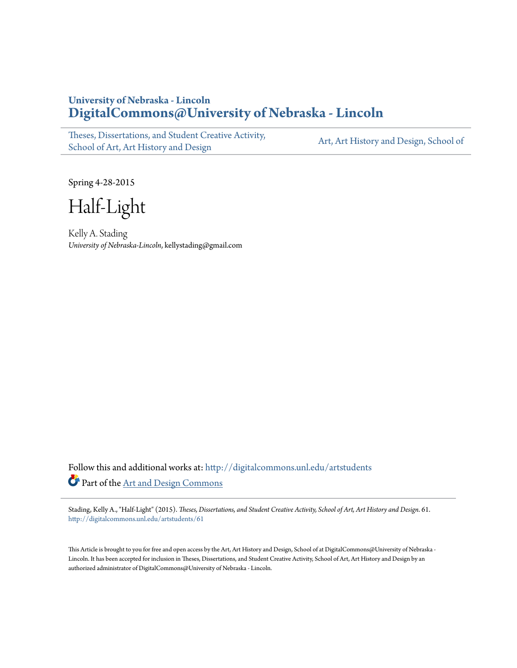# **University of Nebraska - Lincoln [DigitalCommons@University of Nebraska - Lincoln](http://digitalcommons.unl.edu?utm_source=digitalcommons.unl.edu%2Fartstudents%2F61&utm_medium=PDF&utm_campaign=PDFCoverPages)**

[Theses, Dissertations, and Student Creative Activity,](http://digitalcommons.unl.edu/artstudents?utm_source=digitalcommons.unl.edu%2Fartstudents%2F61&utm_medium=PDF&utm_campaign=PDFCoverPages) [School of Art, Art History and Design](http://digitalcommons.unl.edu/artstudents?utm_source=digitalcommons.unl.edu%2Fartstudents%2F61&utm_medium=PDF&utm_campaign=PDFCoverPages)

[Art, Art History and Design, School of](http://digitalcommons.unl.edu/art?utm_source=digitalcommons.unl.edu%2Fartstudents%2F61&utm_medium=PDF&utm_campaign=PDFCoverPages)

Spring 4-28-2015

Half-Light

Kelly A. Stading *University of Nebraska-Lincoln*, kellystading@gmail.com

Follow this and additional works at: [http://digitalcommons.unl.edu/artstudents](http://digitalcommons.unl.edu/artstudents?utm_source=digitalcommons.unl.edu%2Fartstudents%2F61&utm_medium=PDF&utm_campaign=PDFCoverPages) Part of the [Art and Design Commons](http://network.bepress.com/hgg/discipline/1049?utm_source=digitalcommons.unl.edu%2Fartstudents%2F61&utm_medium=PDF&utm_campaign=PDFCoverPages)

Stading, Kelly A., "Half-Light" (2015). *Theses, Dissertations, and Student Creative Activity, School of Art, Art History and Design*. 61. [http://digitalcommons.unl.edu/artstudents/61](http://digitalcommons.unl.edu/artstudents/61?utm_source=digitalcommons.unl.edu%2Fartstudents%2F61&utm_medium=PDF&utm_campaign=PDFCoverPages)

This Article is brought to you for free and open access by the Art, Art History and Design, School of at DigitalCommons@University of Nebraska - Lincoln. It has been accepted for inclusion in Theses, Dissertations, and Student Creative Activity, School of Art, Art History and Design by an authorized administrator of DigitalCommons@University of Nebraska - Lincoln.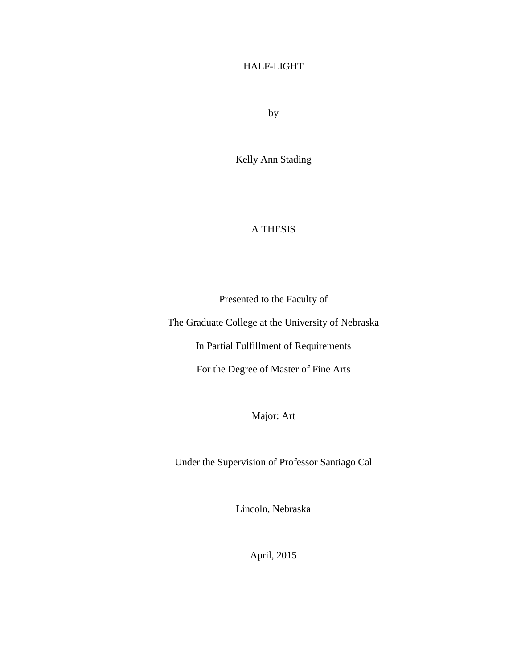### HALF-LIGHT

by

Kelly Ann Stading

## A THESIS

Presented to the Faculty of

The Graduate College at the University of Nebraska

In Partial Fulfillment of Requirements

For the Degree of Master of Fine Arts

Major: Art

Under the Supervision of Professor Santiago Cal

Lincoln, Nebraska

April, 2015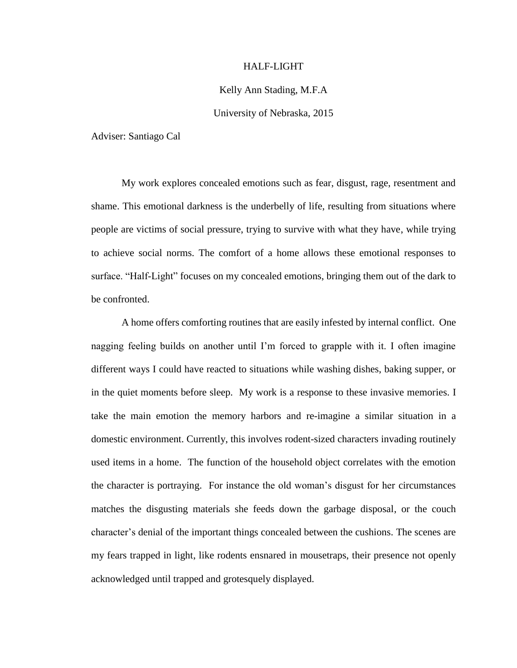#### HALF-LIGHT

#### Kelly Ann Stading, M.F.A

#### University of Nebraska, 2015

Adviser: Santiago Cal

My work explores concealed emotions such as fear, disgust, rage, resentment and shame. This emotional darkness is the underbelly of life, resulting from situations where people are victims of social pressure, trying to survive with what they have, while trying to achieve social norms. The comfort of a home allows these emotional responses to surface. "Half-Light" focuses on my concealed emotions, bringing them out of the dark to be confronted.

A home offers comforting routines that are easily infested by internal conflict. One nagging feeling builds on another until I'm forced to grapple with it. I often imagine different ways I could have reacted to situations while washing dishes, baking supper, or in the quiet moments before sleep. My work is a response to these invasive memories. I take the main emotion the memory harbors and re-imagine a similar situation in a domestic environment. Currently, this involves rodent-sized characters invading routinely used items in a home. The function of the household object correlates with the emotion the character is portraying. For instance the old woman's disgust for her circumstances matches the disgusting materials she feeds down the garbage disposal, or the couch character's denial of the important things concealed between the cushions. The scenes are my fears trapped in light, like rodents ensnared in mousetraps, their presence not openly acknowledged until trapped and grotesquely displayed.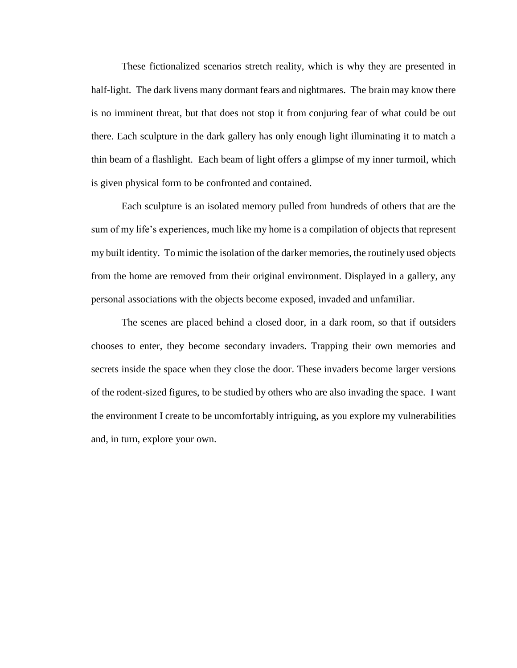These fictionalized scenarios stretch reality, which is why they are presented in half-light. The dark livens many dormant fears and nightmares. The brain may know there is no imminent threat, but that does not stop it from conjuring fear of what could be out there. Each sculpture in the dark gallery has only enough light illuminating it to match a thin beam of a flashlight. Each beam of light offers a glimpse of my inner turmoil, which is given physical form to be confronted and contained.

Each sculpture is an isolated memory pulled from hundreds of others that are the sum of my life's experiences, much like my home is a compilation of objects that represent my built identity. To mimic the isolation of the darker memories, the routinely used objects from the home are removed from their original environment. Displayed in a gallery, any personal associations with the objects become exposed, invaded and unfamiliar.

The scenes are placed behind a closed door, in a dark room, so that if outsiders chooses to enter, they become secondary invaders. Trapping their own memories and secrets inside the space when they close the door. These invaders become larger versions of the rodent-sized figures, to be studied by others who are also invading the space. I want the environment I create to be uncomfortably intriguing, as you explore my vulnerabilities and, in turn, explore your own.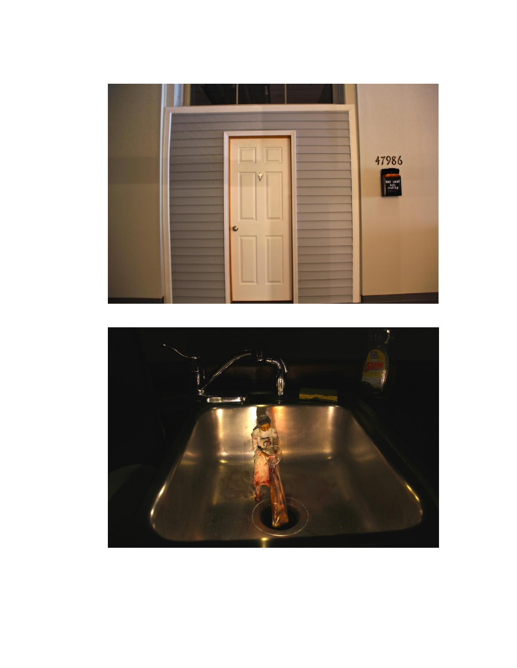

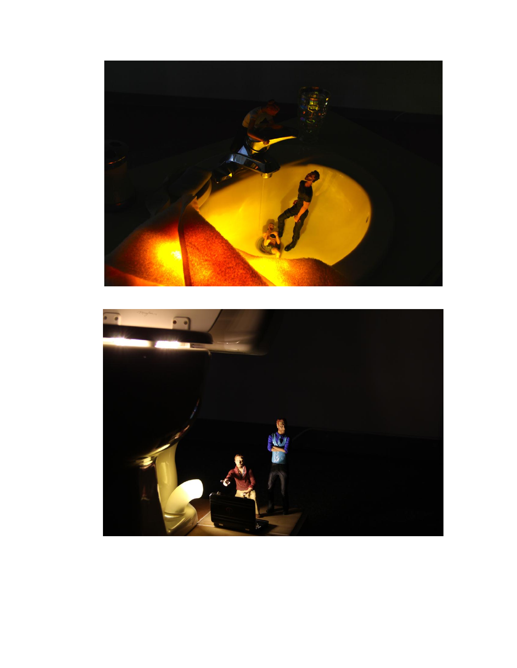

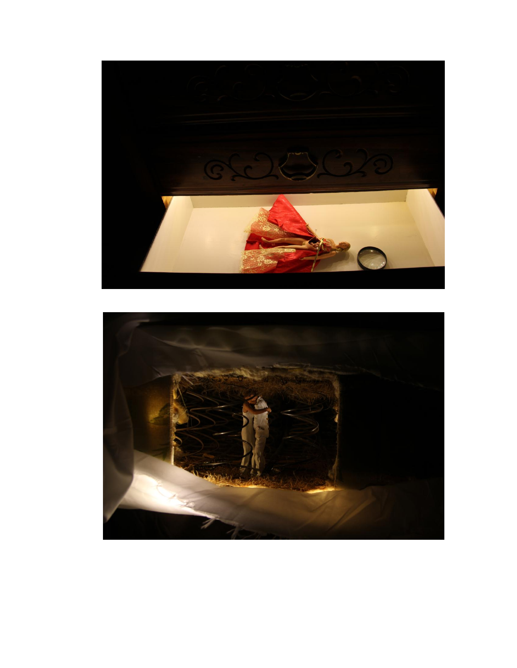

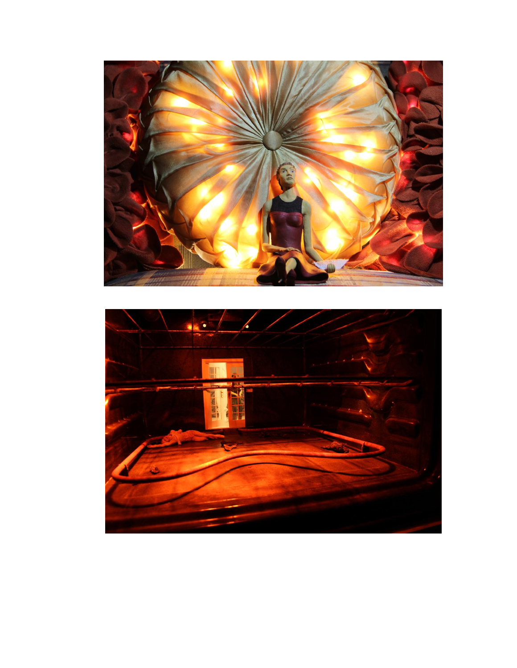